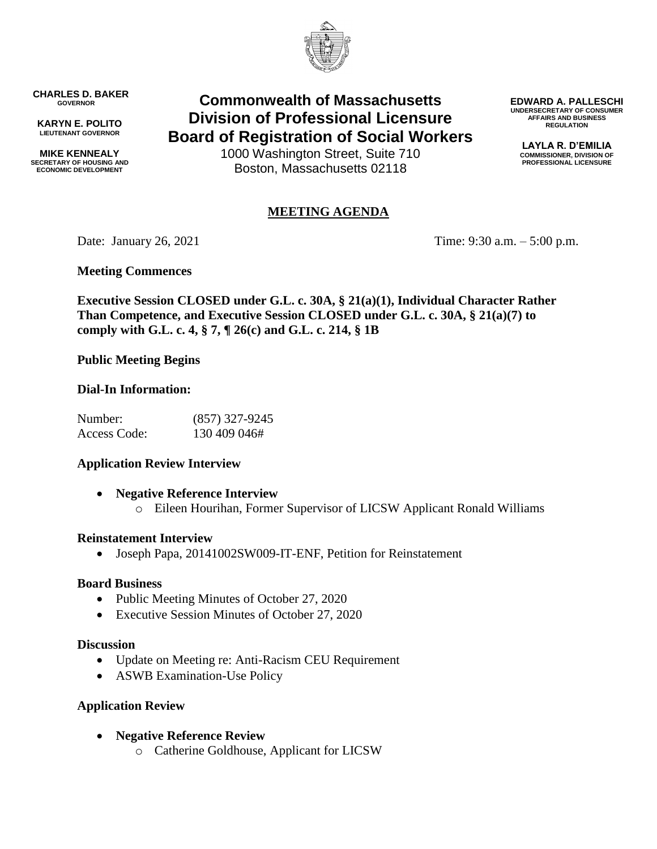

**CHARLES D. BAKER GOVERNOR**

**KARYN E. POLITO LIEUTENANT GOVERNOR**

**MIKE KENNEALY SECRETARY OF HOUSING AND ECONOMIC DEVELOPMENT**

**Commonwealth of Massachusetts Division of Professional Licensure Board of Registration of Social Workers**

> 1000 Washington Street, Suite 710 Boston, Massachusetts 02118

#### **EDWARD A. PALLESCHI UNDERSECRETARY OF CONSUMER AFFAIRS AND BUSINESS REGULATION**

**LAYLA R. D'EMILIA COMMISSIONER, DIVISION OF PROFESSIONAL LICENSURE**

# **MEETING AGENDA**

Date: January 26, 2021 Time: 9:30 a.m. – 5:00 p.m.

# **Meeting Commences**

**Executive Session CLOSED under G.L. c. 30A, § 21(a)(1), Individual Character Rather Than Competence, and Executive Session CLOSED under G.L. c. 30A, § 21(a)(7) to comply with G.L. c. 4, § 7, ¶ 26(c) and G.L. c. 214, § 1B**

# **Public Meeting Begins**

# **Dial-In Information:**

| Number:      | $(857)$ 327-9245 |
|--------------|------------------|
| Access Code: | 130 409 046#     |

# **Application Review Interview**

 **Negative Reference Interview** o Eileen Hourihan, Former Supervisor of LICSW Applicant Ronald Williams

# **Reinstatement Interview**

Joseph Papa, 20141002SW009-IT-ENF, Petition for Reinstatement

# **Board Business**

- Public Meeting Minutes of October 27, 2020
- Executive Session Minutes of October 27, 2020

# **Discussion**

- Update on Meeting re: Anti-Racism CEU Requirement
- ASWB Examination-Use Policy

# **Application Review**

- **Negative Reference Review**
	- o Catherine Goldhouse, Applicant for LICSW